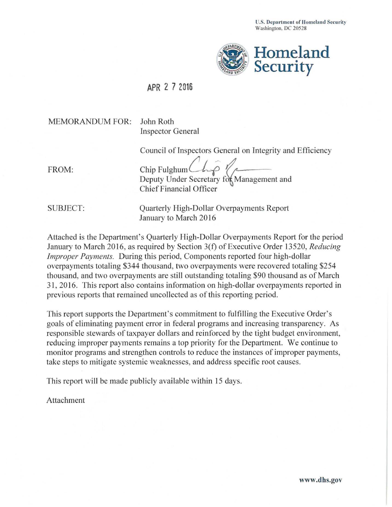

## **APR 2 7 2016**

## MEMORANDUM FOR: John Roth

Inspector General

Council of Inspectors General on Integrity and Efficiency

Deputy Under Secretary for Management and Chief Financial Officer FROM: Chip Fulghum

SUBJECT: Quarterly High-Dollar Overpayments Report January to March 2016

Attached is the Department's Quarterly High-Dollar Overpayments Report for the period January to March 2016, as required by Section 3( f) of Executive Order 13 520, *Reducing Improper Payments.* During this period, Components reported four high-dollar overpayments totaling \$344 thousand, two overpayments were recovered totaling \$254 thousand, and two overpayments are still outstanding totaling \$90 thousand as of March 31 , 2016. This report also contains information on high-dollar overpayments reported in previous reports that remained uncollected as of this reporting period.

This report supports the Department's commitment to fulfilling the Executive Order's goals of eliminating payment error in federal programs and increasing transparency. As responsible stewards of taxpayer dollars and reinforced by the tight budget environment, reducing improper payments remains a top priority for the Department. We continue to monitor programs and strengthen controls to reduce the instances of improper payments, take steps to mitigate systemic weaknesses, and address specific root causes.

This report will be made publicly available within 15 days.

Attachment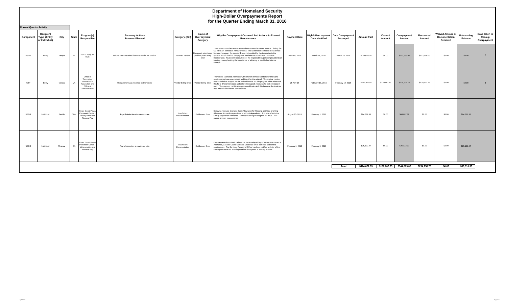|             | TOT the Quarter Ending March 31, 2010<br><b>Current Quarter Activity</b> |         |              |                                                                                           |                                                    |                               |                                            |                                                                                                                                                                                                                                                                                                                                                                                                                                                                                                                                   |                     |                                               |                              |                    |                   |                           |                     |                                                      |                               |                                        |
|-------------|--------------------------------------------------------------------------|---------|--------------|-------------------------------------------------------------------------------------------|----------------------------------------------------|-------------------------------|--------------------------------------------|-----------------------------------------------------------------------------------------------------------------------------------------------------------------------------------------------------------------------------------------------------------------------------------------------------------------------------------------------------------------------------------------------------------------------------------------------------------------------------------------------------------------------------------|---------------------|-----------------------------------------------|------------------------------|--------------------|-------------------|---------------------------|---------------------|------------------------------------------------------|-------------------------------|----------------------------------------|
| Component   | Recipient<br>Type (Entity<br>or Individual)                              | City    | <b>State</b> | Program(s)<br>Responsible                                                                 | <b>Recovery Actions</b><br><b>Taken or Planned</b> | Category (Bill)               | <b>Cause of</b><br>Overpayment<br>Category | Why the Overpayment Occurred And Actions to Prevent<br>Reoccurrence                                                                                                                                                                                                                                                                                                                                                                                                                                                               | <b>Payment Date</b> | High \$ Overpayment<br><b>Date Identified</b> | Date Overpayment<br>Recouped | <b>Amount Paid</b> | Correct<br>Amount | Overpayment<br>Amount     | Recovered<br>Amount | <b>Waived Amount or</b><br>Documentation<br>Received | Outstanding<br><b>Balance</b> | Days taken to<br>Recoup<br>Overpayment |
| <b>USCG</b> | Entity                                                                   | Tampa   | FL.          | USCG HQ (CG-<br>912)                                                                      | Refund check received from the vendor on 3/28/16.  | Incorrect Vendor              | error                                      | The Contract Number on the Approval Form was discovered incorrect during the<br>CG FINCEN technician review process. The Contractor corrected the Contract<br>Document submission Number, however, the Vendor ID was not updated by the technician in the<br>problem; Data entry system. As of 3/28/16, the payment has been recouped from CAE USA<br>Incorporated. To prevent reoccurrence, the responsible supervisor provided team<br>training, re-emphasizing the importance of adhering to established internal<br>controls. | March 4, 2016       | March 21, 2016                                | March 28, 2016               | \$123,656.00       | \$0.00            | \$123,656.00              | \$123,656.00        | \$0.00                                               | \$0.00                        | $\overline{7}$                         |
| CBP         | Entity                                                                   | Vienna  | VA           | Office of<br>Technology<br>Innovation &<br>Acquisition and<br>Office of<br>Administration | Overpayment was returned by the vendor             |                               | Vendor Billing Error Vendor Billing Error  | The vendor submitted 2 invoices with different invoice numbers for the same<br>service period, one was revised and the other the original. The original invoice<br>was intended as support for the revised invoice but the program office miss-took<br>this for 2 different invoices and entered the goods receiving for both invoices in<br>error. The payment certification process did not catch this because the invoices<br>also referenced different contract lines.                                                        | 25-Nov-15           | February 16, 2016                             | February 19, 2016            | \$261,205.50       | \$130,602.75      | \$130,602.75              | \$130,602.75        | \$0.00                                               | \$0.00                        | $\overline{\mathbf{3}}$                |
| <b>USCG</b> | Individual                                                               | Seattle | WA           | Coast Guard Pay &<br>Personnel Center -<br>Military Active and<br>Reserve Pav             | Payroll deduction at maximum rate                  | Insufficient<br>Documentation | <b>Entitlement Error</b>                   | Data was received changing Basic Allowance for Housing and Cost of Living<br>Allowance from with dependents to without dependents. This also affects the<br>Family Separation Allowance. Member is being investigated for fraud. PPC<br>cannot prevent reoccurrence.                                                                                                                                                                                                                                                              | August 15, 2015     | February 1, 2016                              |                              | \$64,687.36        | \$0.00            | \$64,687,36               | \$0.00              | \$0.00                                               | \$64,687.36                   |                                        |
| <b>USCG</b> | Individual                                                               | Miramar | CA           | Coast Guard Pay &<br>Personnel Center<br>Military Active and<br>Reserve Pav               | Payroll deduction at maximum rate.                 | Insufficient<br>Documentation | <b>Entitlement Error</b>                   | Overpayment due to Basic Allowance for Housing w/Dep, Clothing Maintenance<br>Allowance, & Coast Guard Standard Meal Rate while demoted and sent to<br>confinement. The Servicing Personnel Office has been notified by letter of the<br>consequences of not entering data into the system in a timely manner.                                                                                                                                                                                                                    | February 1, 2016    | February 5, 2016                              |                              | \$25,122.97        | \$0.00            | \$25,122.97               | \$0.00              | \$0.00                                               | \$25,122.97                   |                                        |
|             |                                                                          |         |              |                                                                                           |                                                    |                               |                                            |                                                                                                                                                                                                                                                                                                                                                                                                                                                                                                                                   |                     |                                               | Total                        | \$474,671.83       |                   | \$130,602.75 \$344,069.08 | \$254,258.75        | \$0.00                                               | \$89,810.33                   |                                        |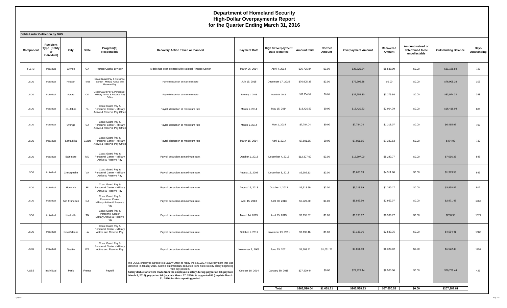| <b>Debts Under Collection by DHS</b> |                                                       |               |             |                                                                                 |                                                                                                                                                                                                                                                                                                                                                                                                                                           |                     |                                                      |                         |                   |                           |                     |                                                       |                            |                     |
|--------------------------------------|-------------------------------------------------------|---------------|-------------|---------------------------------------------------------------------------------|-------------------------------------------------------------------------------------------------------------------------------------------------------------------------------------------------------------------------------------------------------------------------------------------------------------------------------------------------------------------------------------------------------------------------------------------|---------------------|------------------------------------------------------|-------------------------|-------------------|---------------------------|---------------------|-------------------------------------------------------|----------------------------|---------------------|
| Component                            | Recipient<br><b>Type (Entity</b><br>or<br>Individual) | City          | State       | Program(s)<br>Responsible                                                       | Recovery Action Taken or Planned                                                                                                                                                                                                                                                                                                                                                                                                          | <b>Payment Date</b> | <b>High \$ Overpayment</b><br><b>Date Identified</b> | <b>Amount Paid</b>      | Correct<br>Amount | <b>Overpayment Amount</b> | Recovered<br>Amount | Amount waived or<br>determined to be<br>uncollectable | <b>Outstanding Balance</b> | Days<br>Outstanding |
| <b>FLETC</b>                         | Individual                                            | Glynco        | GA          | Human Capital Division                                                          | A debt has been created with National Finance Center                                                                                                                                                                                                                                                                                                                                                                                      | March 26, 2014      | April 4, 2014                                        | \$36,725.84             | \$0.00            | \$36,725.84               | \$5,539.00          | \$0.00                                                | \$31,186.84                | 727                 |
| <b>USCG</b>                          | Individual                                            | Houston       | Texas       | Coast Guard Pay & Personnel<br>Center - Military Active and<br>Reserve Pay      | Payroll deduction at maximum rate                                                                                                                                                                                                                                                                                                                                                                                                         | July 15, 2015       | December 17, 2015                                    | \$76,905.38             | \$0.00            | \$76,905.38               | \$0.00              | \$0.00                                                | \$76,905.38                | 105                 |
| <b>USCG</b>                          | Individual                                            | Aurora        | $_{\rm CO}$ | Coast Guard Pay & Personnel<br>Military Active & Reserve Pay<br>Office          | Payroll deduction at maximum rate                                                                                                                                                                                                                                                                                                                                                                                                         | January 1, 2015     | March 9, 2015                                        | \$37,254.30             | \$0.00            | \$37,254.30               | \$3,279.98          | \$0.00                                                | \$33,974.32                | 388                 |
| <b>USCG</b>                          | Individual                                            | St. Johns     | FL.         | Coast Guard Pay &<br>Personnel Center - Military<br>Active & Reserve Pay Office | Payroll deduction at maximum rate                                                                                                                                                                                                                                                                                                                                                                                                         | March 1, 2014       | May 15, 2014                                         | \$18,420.83             | \$0.00            | \$18,420.83               | \$2,004.79          | \$0.00                                                | \$16,416.04                | 686                 |
| <b>USCG</b>                          | Individual                                            | Orange        | CA          | Coast Guard Pay &<br>Personnel Center - Military<br>Active & Reserve Pay Office | Payroll deduction at maximum rate                                                                                                                                                                                                                                                                                                                                                                                                         | March 1, 2014       | May 1, 2014                                          | \$7,784.04              | \$0.00            | \$7,784.04                | \$1,318.07          | \$0.00                                                | \$6,465.97                 | 700                 |
| <b>USCG</b>                          | Individual                                            | Santa Rita    | Guam        | Coast Guard Pay &<br>Personnel Center - Military<br>Active & Reserve Pay Office | Payroll deduction at maximum rate                                                                                                                                                                                                                                                                                                                                                                                                         | March 15, 2014      | April 1, 2014                                        | \$7,801.55              | \$0.00            | \$7,801.55                | \$7,327.53          | \$0.00                                                | \$474.02                   | 730                 |
| <b>USCG</b>                          | Individual                                            | Baltimore     | MD          | Coast Guard Pay &<br>Personnel Center - Military<br>Active & Reserve Pay        | Payroll deduction at maximum rate.                                                                                                                                                                                                                                                                                                                                                                                                        | October 1, 2013     | December 4, 2013                                     | \$12,307.00             | \$0.00            | \$12,307.00               | \$5,240.77          | \$0.00                                                | \$7,066.23                 | 848                 |
| <b>USCG</b>                          | Individual                                            | Chesapeake    | VA          | Coast Guard Pay &<br>Personnel Center - Military<br>Active & Reserve Pay        | Payroll deduction at maximum rate.                                                                                                                                                                                                                                                                                                                                                                                                        | August 15, 2009     | December 3, 2013                                     | \$5,685.13              | \$0.00            | \$5,685.13                | \$4,311.60          | \$0.00                                                | \$1,373.53                 | 849                 |
| USCG                                 | Individual                                            | Honolulu      | HL          | Coast Guard Pay &<br>Personnel Center - Military<br>Active & Reserve Pay        | Payroll deduction at maximum rate.                                                                                                                                                                                                                                                                                                                                                                                                        | August 15, 2013     | October 1, 2013                                      | \$5,318.99              | \$0.00            | \$5,318.99                | \$1,360.17          | \$0.00                                                | \$3,958.82                 | 912                 |
| <b>USCG</b>                          | Individual                                            | San Francisco | CA          | Coast Guard Pay &<br>Personnel Center<br>Military Active & Reserve<br>Pay       | Payroll deduction at maximum rate.                                                                                                                                                                                                                                                                                                                                                                                                        | April 15, 2013      | April 30, 2013                                       | \$5,923.50              | \$0.00            | \$5,923.50                | \$2,952.07          | \$0.00                                                | \$2,971.43                 | 1066                |
| <b>USCG</b>                          | Individual                                            | Nashville     | TN          | Coast Guard Pay &<br>Personnel Center<br>Military Active & Reserve<br>Pay       | Payroll deduction at maximum rate.                                                                                                                                                                                                                                                                                                                                                                                                        | March 14, 2013      | April 25, 2013                                       | \$9,195.67              | \$0.00            | \$9,195.67                | \$8,906.77          | \$0.00                                                | \$288.90                   | 1071                |
| <b>USCG</b>                          | Individual                                            | New Orleans   | LA          | Coast Guard Pay &<br>Personnel Center - Military<br>Active and Reserve Pay      | Payroll deduction at maximum rate.                                                                                                                                                                                                                                                                                                                                                                                                        | October 1, 2011     | November 25, 2011                                    | \$7,135.16              | \$0.00            | \$7,135.16                | \$2,580.75          | \$0.00                                                | \$4,554.41                 | 1588                |
| <b>USCG</b>                          | Individual                                            | Seattle       | WA          | Coast Guard Pay &<br>Personnel Center - Military<br>Active and Reserve Pay      | Payroll deduction at maximum rate.                                                                                                                                                                                                                                                                                                                                                                                                        | November 1, 2008    | June 15, 2011                                        | \$8,903.21              | \$1,051.71        | \$7,851.50                | \$6,329.02          | \$0.00                                                | \$1,522.48                 | 1751                |
| USSS                                 | Individual                                            | Paris         | France      | Payroll                                                                         | The USSS employee agreed to a Salary Offset to repay the \$27,229.44 overpayment that was<br>identified in January 2015. \$250 is automatically deducted from his bi-weekly salary beginning<br>with pay period 6.<br>Salary deductions were made from the employee's salary during payperiod 03 (paydate<br>March 3, 2016), payperiod 04 (paydate March 17, 2016), & payperiod 05 (paydate March<br>31, 2016) for this reporting period. | October 18, 2014    | January 30, 2015                                     | \$27,229.44             | \$0.00            | \$27,229.44               | \$6,500.00          | \$0.00                                                | \$20,729.44                | 426                 |
|                                      |                                                       |               |             |                                                                                 |                                                                                                                                                                                                                                                                                                                                                                                                                                           |                     | Total                                                | \$266,590.04 \$1,051.71 |                   | \$265,538.33              | \$57,650.52         | \$0.00                                                | \$207,887.81               |                     |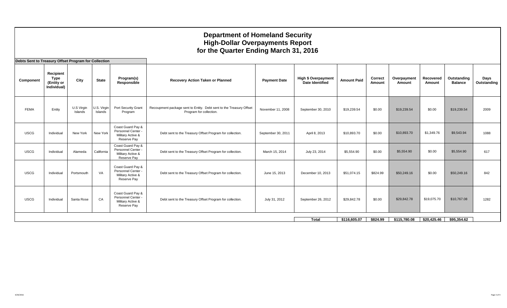| Debts Sent to Treasury Offset Program for Collection |                                                       |                       |                        |                                                                             |                                                                                                |                     |                                                      |                    |                          |                       |                     |                               |                     |
|------------------------------------------------------|-------------------------------------------------------|-----------------------|------------------------|-----------------------------------------------------------------------------|------------------------------------------------------------------------------------------------|---------------------|------------------------------------------------------|--------------------|--------------------------|-----------------------|---------------------|-------------------------------|---------------------|
| Component                                            | Recipient<br><b>Type</b><br>(Entity or<br>Individual) | City                  | <b>State</b>           | Program(s)<br>Responsible                                                   | Recovery Action Taken or Planned                                                               | <b>Payment Date</b> | <b>High \$ Overpayment</b><br><b>Date Identified</b> | <b>Amount Paid</b> | <b>Correct</b><br>Amount | Overpayment<br>Amount | Recovered<br>Amount | Outstanding<br><b>Balance</b> | Days<br>Outstanding |
| <b>FEMA</b>                                          | Entity                                                | U.S Virgin<br>Islands | U.S. Virgin<br>Islands | Port Security Grant<br>Program                                              | Recoupment package sent to Entity. Debt sent to the Treasury Offset<br>Program for collection. | November 11, 2008   | September 30, 2010                                   | \$19,239.54        | \$0.00                   | \$19,239.54           | \$0.00              | \$19,239.54                   | 2009                |
| <b>USCG</b>                                          | Individual                                            | New York              | New York               | Coast Guard Pay &<br>Personnel Center -<br>Military Active &<br>Reserve Pay | Debt sent to the Treasury Offset Program for collection.                                       | September 30, 2011  | April 8, 2013                                        | \$10,893.70        | \$0.00                   | \$10,893.70           | \$1,349.76          | \$9,543.94                    | 1088                |
| <b>USCG</b>                                          | Individual                                            | Alameda               | California             | Coast Guard Pay &<br>Personnel Center -<br>Military Active &<br>Reserve Pay | Debt sent to the Treasury Offset Program for collection.                                       | March 15, 2014      | July 23, 2014                                        | \$5,554.90         | \$0.00                   | \$5,554.90            | \$0.00              | \$5,554.90                    | 617                 |
| <b>USCG</b>                                          | Individual                                            | Portsmouth            | VA                     | Coast Guard Pay &<br>Personnel Center -<br>Military Active &<br>Reserve Pay | Debt sent to the Treasury Offset Program for collection.                                       | June 15, 2013       | December 10, 2013                                    | \$51,074.15        | \$824.99                 | \$50,249.16           | \$0.00              | \$50,249.16                   | 842                 |
| <b>USCG</b>                                          | Individual                                            | Santa Rose            | CA                     | Coast Guard Pay &<br>Personnel Center -<br>Military Active &<br>Reserve Pay | Debt sent to the Treasury Offset Program for collection.                                       | July 31, 2012       | September 26, 2012                                   | \$29.842.78        | \$0.00                   | \$29,842.78           | \$19,075.70         | \$10,767.08                   | 1282                |
|                                                      |                                                       |                       |                        |                                                                             |                                                                                                |                     | <b>Total</b>                                         | \$116,605.07       | \$824.99                 | \$115,780.08          | \$20,425.46         | \$95,354.62                   |                     |